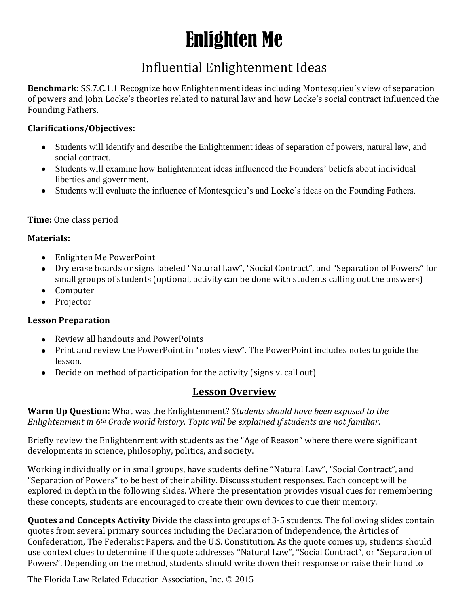# Enlighten Me

## Influential Enlightenment Ideas

**Benchmark:** SS.7.C.1.1 Recognize how Enlightenment ideas including Montesquieu's view of separation of powers and John Locke's theories related to natural law and how Locke's social contract influenced the Founding Fathers.

#### **Clarifications/Objectives:**

- Students will identify and describe the Enlightenment ideas of separation of powers, natural law, and social contract.
- Students will examine how Enlightenment ideas influenced the Founders' beliefs about individual liberties and government.
- Students will evaluate the influence of Montesquieu's and Locke's ideas on the Founding Fathers.

#### **Time:** One class period

#### **Materials:**

- Enlighten Me PowerPoint
- Dry erase boards or signs labeled "Natural Law", "Social Contract", and "Separation of Powers" for small groups of students (optional, activity can be done with students calling out the answers)
- Computer
- Projector

#### **Lesson Preparation**

- Review all handouts and PowerPoints
- Print and review the PowerPoint in "notes view". The PowerPoint includes notes to guide the lesson.
- Decide on method of participation for the activity (signs v. call out)

### **Lesson Overview**

**Warm Up Question:** What was the Enlightenment? *Students should have been exposed to the Enlightenment in 6th Grade world history. Topic will be explained if students are not familiar.* 

Briefly review the Enlightenment with students as the "Age of Reason" where there were significant developments in science, philosophy, politics, and society.

Working individually or in small groups, have students define "Natural Law", "Social Contract", and "Separation of Powers" to be best of their ability. Discuss student responses. Each concept will be explored in depth in the following slides. Where the presentation provides visual cues for remembering these concepts, students are encouraged to create their own devices to cue their memory.

**Quotes and Concepts Activity** Divide the class into groups of 3-5 students. The following slides contain quotes from several primary sources including the Declaration of Independence, the Articles of Confederation, The Federalist Papers, and the U.S. Constitution. As the quote comes up, students should use context clues to determine if the quote addresses "Natural Law", "Social Contract", or "Separation of Powers". Depending on the method, students should write down their response or raise their hand to

The Florida Law Related Education Association, Inc. © 2015